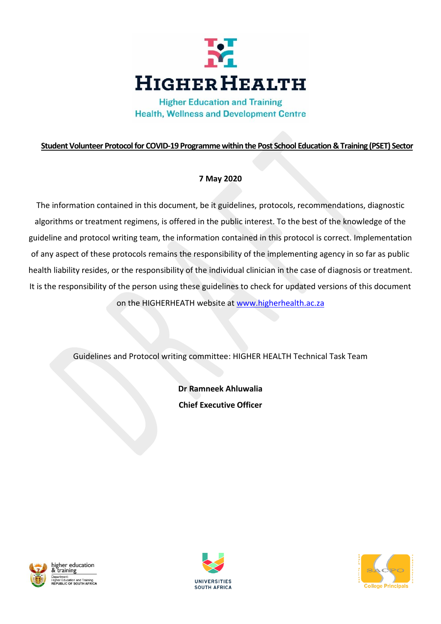

**Higher Education and Training Health, Wellness and Development Centre** 

# **Student Volunteer Protocolfor COVID-19 Programme within the Post School Education & Training (PSET) Sector**

# **7 May 2020**

The information contained in this document, be it guidelines, protocols, recommendations, diagnostic algorithms or treatment regimens, is offered in the public interest. To the best of the knowledge of the guideline and protocol writing team, the information contained in this protocol is correct. Implementation of any aspect of these protocols remains the responsibility of the implementing agency in so far as public health liability resides, or the responsibility of the individual clinician in the case of diagnosis or treatment. It is the responsibility of the person using these guidelines to check for updated versions of this document on the HIGHERHEATH website at [www.higherhealth.ac.za](http://www.higherhealth.ac.za/)

Guidelines and Protocol writing committee: HIGHER HEALTH Technical Task Team

**Dr Ramneek Ahluwalia Chief Executive Officer**





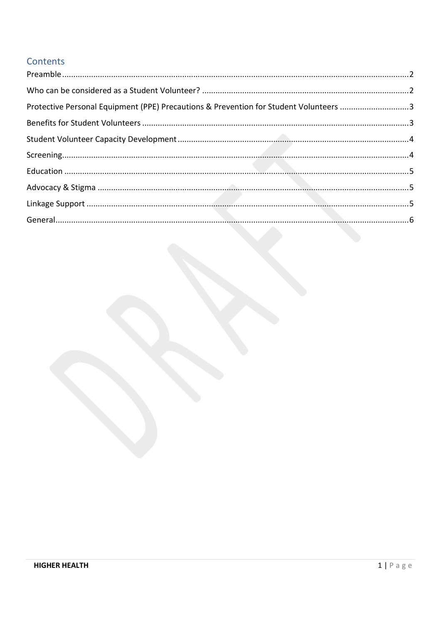# Contents

| Protective Personal Equipment (PPE) Precautions & Prevention for Student Volunteers 3 |  |
|---------------------------------------------------------------------------------------|--|
|                                                                                       |  |
|                                                                                       |  |
|                                                                                       |  |
|                                                                                       |  |
|                                                                                       |  |
|                                                                                       |  |
|                                                                                       |  |
|                                                                                       |  |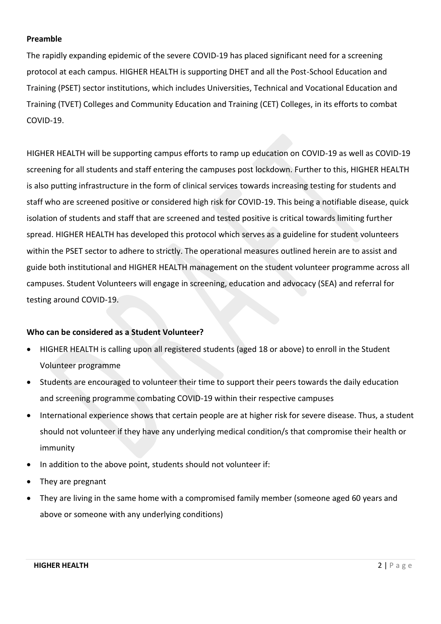## <span id="page-2-0"></span>**Preamble**

The rapidly expanding epidemic of the severe COVID-19 has placed significant need for a screening protocol at each campus. HIGHER HEALTH is supporting DHET and all the Post-School Education and Training (PSET) sector institutions, which includes Universities, Technical and Vocational Education and Training (TVET) Colleges and Community Education and Training (CET) Colleges, in its efforts to combat COVID-19.

HIGHER HEALTH will be supporting campus efforts to ramp up education on COVID-19 as well as COVID-19 screening for all students and staff entering the campuses post lockdown. Further to this, HIGHER HEALTH is also putting infrastructure in the form of clinical services towards increasing testing for students and staff who are screened positive or considered high risk for COVID-19. This being a notifiable disease, quick isolation of students and staff that are screened and tested positive is critical towards limiting further spread. HIGHER HEALTH has developed this protocol which serves as a guideline for student volunteers within the PSET sector to adhere to strictly. The operational measures outlined herein are to assist and guide both institutional and HIGHER HEALTH management on the student volunteer programme across all campuses. Student Volunteers will engage in screening, education and advocacy (SEA) and referral for testing around COVID-19.

### <span id="page-2-1"></span>**Who can be considered as a Student Volunteer?**

- HIGHER HEALTH is calling upon all registered students (aged 18 or above) to enroll in the Student Volunteer programme
- Students are encouraged to volunteer their time to support their peers towards the daily education and screening programme combating COVID-19 within their respective campuses
- International experience shows that certain people are at higher risk for severe disease. Thus, a student should not volunteer if they have any underlying medical condition/s that compromise their health or immunity
- In addition to the above point, students should not volunteer if:
- They are pregnant
- They are living in the same home with a compromised family member (someone aged 60 years and above or someone with any underlying conditions)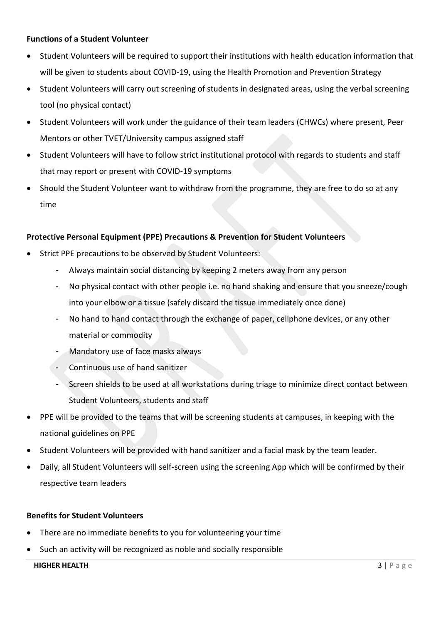## **Functions of a Student Volunteer**

- Student Volunteers will be required to support their institutions with health education information that will be given to students about COVID-19, using the Health Promotion and Prevention Strategy
- Student Volunteers will carry out screening of students in designated areas, using the verbal screening tool (no physical contact)
- Student Volunteers will work under the guidance of their team leaders (CHWCs) where present, Peer Mentors or other TVET/University campus assigned staff
- Student Volunteers will have to follow strict institutional protocol with regards to students and staff that may report or present with COVID-19 symptoms
- Should the Student Volunteer want to withdraw from the programme, they are free to do so at any time

## <span id="page-3-0"></span>**Protective Personal Equipment (PPE) Precautions & Prevention for Student Volunteers**

- Strict PPE precautions to be observed by Student Volunteers:
	- Always maintain social distancing by keeping 2 meters away from any person
	- No physical contact with other people i.e. no hand shaking and ensure that you sneeze/cough into your elbow or a tissue (safely discard the tissue immediately once done)
	- No hand to hand contact through the exchange of paper, cellphone devices, or any other material or commodity
	- Mandatory use of face masks always
	- Continuous use of hand sanitizer
	- Screen shields to be used at all workstations during triage to minimize direct contact between Student Volunteers, students and staff
- PPE will be provided to the teams that will be screening students at campuses, in keeping with the national guidelines on PPE
- Student Volunteers will be provided with hand sanitizer and a facial mask by the team leader.
- Daily, all Student Volunteers will self-screen using the screening App which will be confirmed by their respective team leaders

#### <span id="page-3-1"></span>**Benefits for Student Volunteers**

- There are no immediate benefits to you for volunteering your time
- Such an activity will be recognized as noble and socially responsible

#### **HIGHER HEALTH 3** | P a g e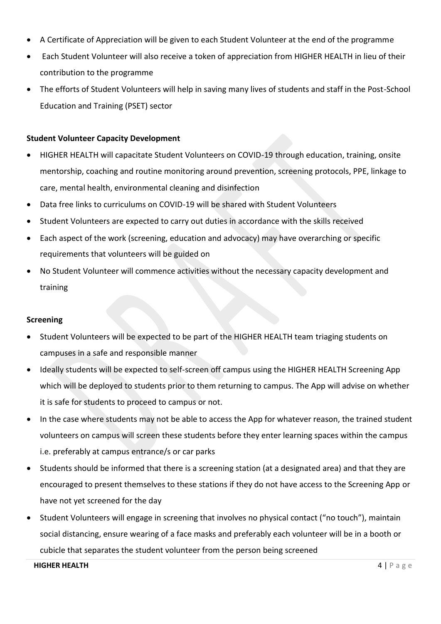- A Certificate of Appreciation will be given to each Student Volunteer at the end of the programme
- Each Student Volunteer will also receive a token of appreciation from HIGHER HEALTH in lieu of their contribution to the programme
- The efforts of Student Volunteers will help in saving many lives of students and staff in the Post-School Education and Training (PSET) sector

# <span id="page-4-0"></span>**Student Volunteer Capacity Development**

- HIGHER HEALTH will capacitate Student Volunteers on COVID-19 through education, training, onsite mentorship, coaching and routine monitoring around prevention, screening protocols, PPE, linkage to care, mental health, environmental cleaning and disinfection
- Data free links to curriculums on COVID-19 will be shared with Student Volunteers
- Student Volunteers are expected to carry out duties in accordance with the skills received
- Each aspect of the work (screening, education and advocacy) may have overarching or specific requirements that volunteers will be guided on
- No Student Volunteer will commence activities without the necessary capacity development and training

### <span id="page-4-1"></span>**Screening**

- Student Volunteers will be expected to be part of the HIGHER HEALTH team triaging students on campuses in a safe and responsible manner
- Ideally students will be expected to self-screen off campus using the HIGHER HEALTH Screening App which will be deployed to students prior to them returning to campus. The App will advise on whether it is safe for students to proceed to campus or not.
- In the case where students may not be able to access the App for whatever reason, the trained student volunteers on campus will screen these students before they enter learning spaces within the campus i.e. preferably at campus entrance/s or car parks
- Students should be informed that there is a screening station (at a designated area) and that they are encouraged to present themselves to these stations if they do not have access to the Screening App or have not yet screened for the day
- Student Volunteers will engage in screening that involves no physical contact ("no touch"), maintain social distancing, ensure wearing of a face masks and preferably each volunteer will be in a booth or cubicle that separates the student volunteer from the person being screened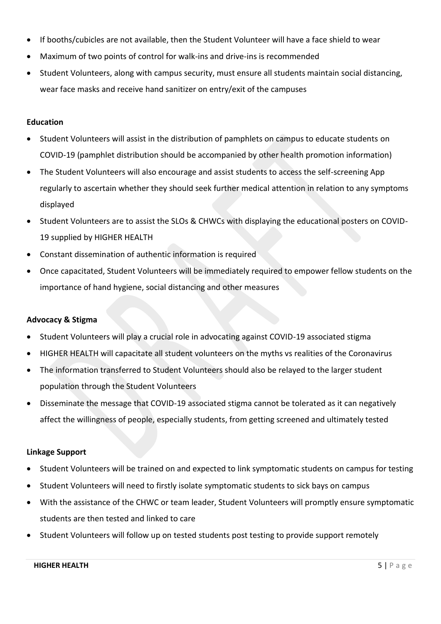- If booths/cubicles are not available, then the Student Volunteer will have a face shield to wear
- Maximum of two points of control for walk-ins and drive-ins is recommended
- Student Volunteers, along with campus security, must ensure all students maintain social distancing, wear face masks and receive hand sanitizer on entry/exit of the campuses

## <span id="page-5-0"></span>**Education**

- Student Volunteers will assist in the distribution of pamphlets on campus to educate students on COVID-19 (pamphlet distribution should be accompanied by other health promotion information)
- The Student Volunteers will also encourage and assist students to access the self-screening App regularly to ascertain whether they should seek further medical attention in relation to any symptoms displayed
- Student Volunteers are to assist the SLOs & CHWCs with displaying the educational posters on COVID-19 supplied by HIGHER HEALTH
- Constant dissemination of authentic information is required
- Once capacitated, Student Volunteers will be immediately required to empower fellow students on the importance of hand hygiene, social distancing and other measures

# <span id="page-5-1"></span>**Advocacy & Stigma**

- Student Volunteers will play a crucial role in advocating against COVID-19 associated stigma
- HIGHER HEALTH will capacitate all student volunteers on the myths vs realities of the Coronavirus
- The information transferred to Student Volunteers should also be relayed to the larger student population through the Student Volunteers
- Disseminate the message that COVID-19 associated stigma cannot be tolerated as it can negatively affect the willingness of people, especially students, from getting screened and ultimately tested

### <span id="page-5-2"></span>**Linkage Support**

- Student Volunteers will be trained on and expected to link symptomatic students on campus for testing
- Student Volunteers will need to firstly isolate symptomatic students to sick bays on campus
- With the assistance of the CHWC or team leader, Student Volunteers will promptly ensure symptomatic students are then tested and linked to care
- Student Volunteers will follow up on tested students post testing to provide support remotely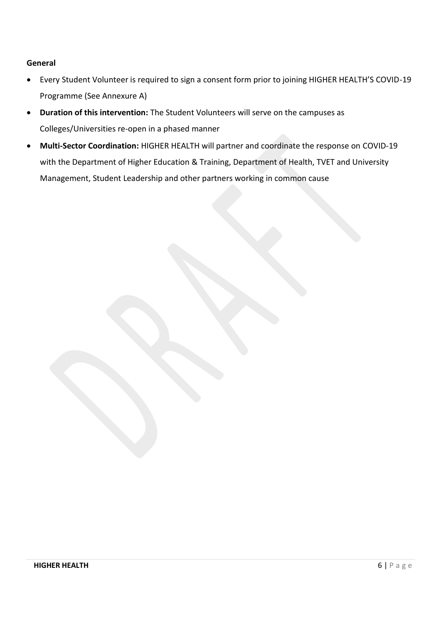## <span id="page-6-0"></span>**General**

- Every Student Volunteer is required to sign a consent form prior to joining HIGHER HEALTH'S COVID-19 Programme (See Annexure A)
- **Duration of this intervention:** The Student Volunteers will serve on the campuses as Colleges/Universities re-open in a phased manner
- **Multi-Sector Coordination:** HIGHER HEALTH will partner and coordinate the response on COVID-19 with the Department of Higher Education & Training, Department of Health, TVET and University Management, Student Leadership and other partners working in common cause

**HIGHER HEALTH** 6 | P a g e